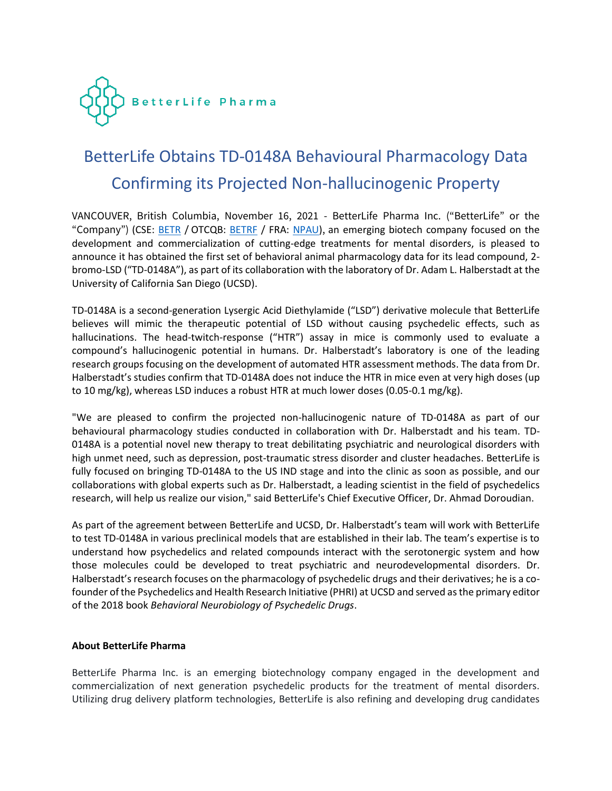

# BetterLife Obtains TD-0148A Behavioural Pharmacology Data Confirming its Projected Non-hallucinogenic Property

VANCOUVER, British Columbia, November 16, 2021 - BetterLife Pharma Inc. ("BetterLife" or the "Company") (CSE: **BETR** / OTCQB: **BETRF** / FRA: [NPAU\)](https://www.tradegate.de/orderbuch.php?lang=en&isin=CA08772P2026), an emerging biotech company focused on the development and commercialization of cutting-edge treatments for mental disorders, is pleased to announce it has obtained the first set of behavioral animal pharmacology data for its lead compound, 2 bromo-LSD ("TD-0148A"), as part of its collaboration with the laboratory of Dr. Adam L. Halberstadt at the University of California San Diego (UCSD).

TD-0148A is a second-generation Lysergic Acid Diethylamide ("LSD") derivative molecule that BetterLife believes will mimic the therapeutic potential of LSD without causing psychedelic effects, such as hallucinations. The head-twitch-response ("HTR") assay in mice is commonly used to evaluate a compound's hallucinogenic potential in humans. Dr. Halberstadt's laboratory is one of the leading research groups focusing on the development of automated HTR assessment methods. The data from Dr. Halberstadt's studies confirm that TD-0148A does not induce the HTR in mice even at very high doses (up to 10 mg/kg), whereas LSD induces a robust HTR at much lower doses (0.05-0.1 mg/kg).

"We are pleased to confirm the projected non-hallucinogenic nature of TD-0148A as part of our behavioural pharmacology studies conducted in collaboration with Dr. Halberstadt and his team. TD-0148A is a potential novel new therapy to treat debilitating psychiatric and neurological disorders with high unmet need, such as depression, post-traumatic stress disorder and cluster headaches. BetterLife is fully focused on bringing TD-0148A to the US IND stage and into the clinic as soon as possible, and our collaborations with global experts such as Dr. Halberstadt, a leading scientist in the field of psychedelics research, will help us realize our vision," said BetterLife's Chief Executive Officer, Dr. Ahmad Doroudian.

As part of the agreement between BetterLife and UCSD, Dr. Halberstadt's team will work with BetterLife to test TD-0148A in various preclinical models that are established in their lab. The team's expertise is to understand how psychedelics and related compounds interact with the serotonergic system and how those molecules could be developed to treat psychiatric and neurodevelopmental disorders. Dr. Halberstadt's research focuses on the pharmacology of psychedelic drugs and their derivatives; he is a cofounder of the Psychedelics and Health Research Initiative (PHRI) at UCSD and served as the primary editor of the 2018 book *Behavioral Neurobiology of Psychedelic Drugs*.

## **About BetterLife Pharma**

BetterLife Pharma Inc. is an emerging biotechnology company engaged in the development and commercialization of next generation psychedelic products for the treatment of mental disorders. Utilizing drug delivery platform technologies, BetterLife is also refining and developing drug candidates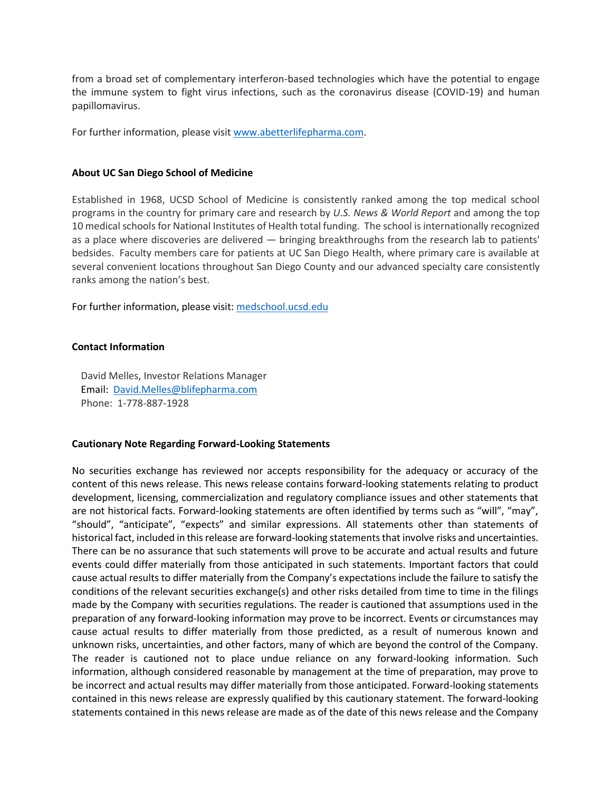from a broad set of complementary interferon-based technologies which have the potential to engage the immune system to fight virus infections, such as the coronavirus disease (COVID-19) and human papillomavirus.

For further information, please visit [www.abetterlifepharma.com.](file:///C:/Users/andre/AppData/Local/Temp/www.abetterlifepharma.com)

### **About UC San Diego School of Medicine**

Established in 1968, UCSD School of Medicine is consistently ranked among the top medical school programs in the country for primary care and research by *U.S. News & World Report* and among the top 10 medical schools for National Institutes of Health total funding. The school is internationally recognized as a place where discoveries are delivered — bringing breakthroughs from the research lab to patients' bedsides. Faculty members care for patients at UC San Diego Health, where primary care is available at several convenient locations throughout San Diego County and our advanced specialty care consistently ranks among the nation's best.

For further information, please visit[: medschool.ucsd.edu](https://medschool.ucsd.edu/)

### **Contact Information**

David Melles, Investor Relations Manager Email: [David.Melles@blifepharma.com](mailto:David.Melles@blifepharma.com) Phone: 1-778-887-1928

#### **Cautionary Note Regarding Forward-Looking Statements**

No securities exchange has reviewed nor accepts responsibility for the adequacy or accuracy of the content of this news release. This news release contains forward-looking statements relating to product development, licensing, commercialization and regulatory compliance issues and other statements that are not historical facts. Forward-looking statements are often identified by terms such as "will", "may", "should", "anticipate", "expects" and similar expressions. All statements other than statements of historical fact, included in this release are forward-looking statements that involve risks and uncertainties. There can be no assurance that such statements will prove to be accurate and actual results and future events could differ materially from those anticipated in such statements. Important factors that could cause actual results to differ materially from the Company's expectations include the failure to satisfy the conditions of the relevant securities exchange(s) and other risks detailed from time to time in the filings made by the Company with securities regulations. The reader is cautioned that assumptions used in the preparation of any forward-looking information may prove to be incorrect. Events or circumstances may cause actual results to differ materially from those predicted, as a result of numerous known and unknown risks, uncertainties, and other factors, many of which are beyond the control of the Company. The reader is cautioned not to place undue reliance on any forward-looking information. Such information, although considered reasonable by management at the time of preparation, may prove to be incorrect and actual results may differ materially from those anticipated. Forward-looking statements contained in this news release are expressly qualified by this cautionary statement. The forward-looking statements contained in this news release are made as of the date of this news release and the Company